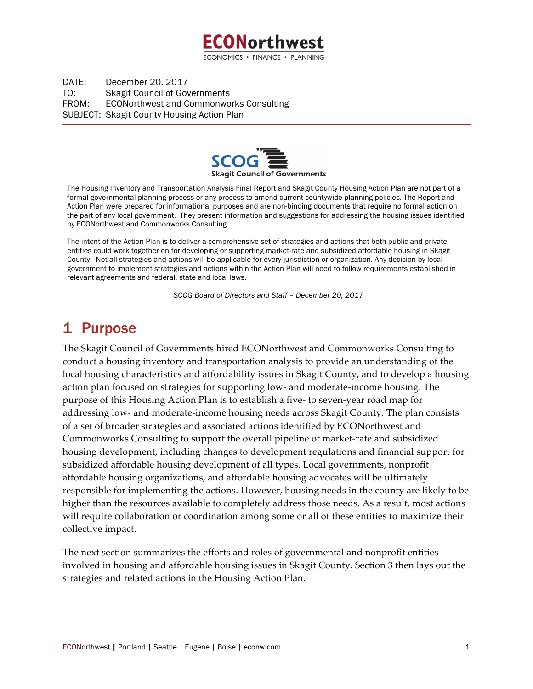

DATE: December 20, 2017 TO: Skagit Council of Governments FROM: ECONorthwest and Commonworks Consulting SUBJECT: Skagit County Housing Action Plan



The Housing Inventory and Transportation Analysis Final Report and Skagit County Housing Action Plan are not part of a formal governmental planning process or any process to amend current countywide planning policies. The Report and Action Plan were prepared for informational purposes and are non-binding documents that require no formal action on the part of any local government. They present information and suggestions for addressing the housing issues identified by ECONorthwest and Commonworks Consulting.

The intent of the Action Plan is to deliver a comprehensive set of strategies and actions that both public and private entities could work together on for developing or supporting market-rate and subsidized affordable housing in Skagit County. Not all strategies and actions will be applicable for every jurisdiction or organization. Any decision by local government to implement strategies and actions within the Action Plan will need to follow requirements established in relevant agreements and federal, state and local laws.

*SCOG Board of Directors and Staff – December 20, 2017*

# 1 Purpose

The Skagit Council of Governments hired ECONorthwest and Commonworks Consulting to conduct a housing inventory and transportation analysis to provide an understanding of the local housing characteristics and affordability issues in Skagit County, and to develop a housing action plan focused on strategies for supporting low- and moderate-income housing. The purpose of this Housing Action Plan is to establish a five- to seven-year road map for addressing low- and moderate-income housing needs across Skagit County. The plan consists of a set of broader strategies and associated actions identified by ECONorthwest and Commonworks Consulting to support the overall pipeline of market-rate and subsidized housing development, including changes to development regulations and financial support for subsidized affordable housing development of all types. Local governments, nonprofit affordable housing organizations, and affordable housing advocates will be ultimately responsible for implementing the actions. However, housing needs in the county are likely to be higher than the resources available to completely address those needs. As a result, most actions will require collaboration or coordination among some or all of these entities to maximize their collective impact.

The next section summarizes the efforts and roles of governmental and nonprofit entities involved in housing and affordable housing issues in Skagit County. Section 3 then lays out the strategies and related actions in the Housing Action Plan.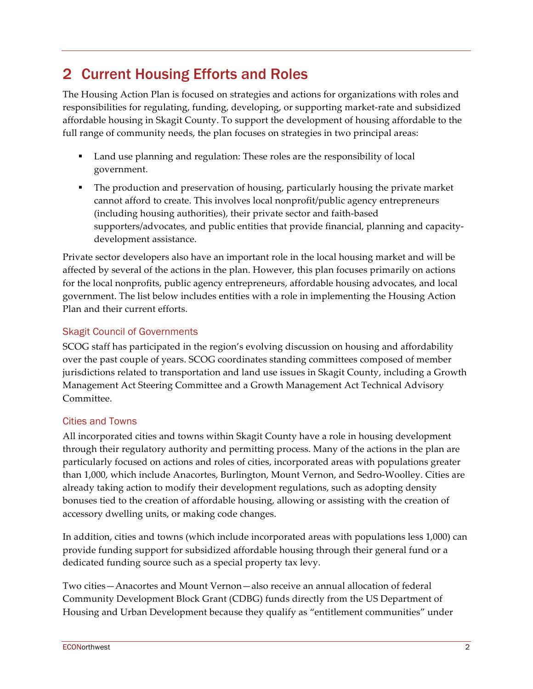# 2 Current Housing Efforts and Roles

The Housing Action Plan is focused on strategies and actions for organizations with roles and responsibilities for regulating, funding, developing, or supporting market-rate and subsidized affordable housing in Skagit County. To support the development of housing affordable to the full range of community needs, the plan focuses on strategies in two principal areas:

- Land use planning and regulation: These roles are the responsibility of local government.
- The production and preservation of housing, particularly housing the private market cannot afford to create. This involves local nonprofit/public agency entrepreneurs (including housing authorities), their private sector and faith-based supporters/advocates, and public entities that provide financial, planning and capacitydevelopment assistance.

Private sector developers also have an important role in the local housing market and will be affected by several of the actions in the plan. However, this plan focuses primarily on actions for the local nonprofits, public agency entrepreneurs, affordable housing advocates, and local government. The list below includes entities with a role in implementing the Housing Action Plan and their current efforts.

### Skagit Council of Governments

SCOG staff has participated in the region's evolving discussion on housing and affordability over the past couple of years. SCOG coordinates standing committees composed of member jurisdictions related to transportation and land use issues in Skagit County, including a Growth Management Act Steering Committee and a Growth Management Act Technical Advisory Committee.

### Cities and Towns

All incorporated cities and towns within Skagit County have a role in housing development through their regulatory authority and permitting process. Many of the actions in the plan are particularly focused on actions and roles of cities, incorporated areas with populations greater than 1,000, which include Anacortes, Burlington, Mount Vernon, and Sedro-Woolley. Cities are already taking action to modify their development regulations, such as adopting density bonuses tied to the creation of affordable housing, allowing or assisting with the creation of accessory dwelling units, or making code changes.

In addition, cities and towns (which include incorporated areas with populations less 1,000) can provide funding support for subsidized affordable housing through their general fund or a dedicated funding source such as a special property tax levy.

Two cities—Anacortes and Mount Vernon—also receive an annual allocation of federal Community Development Block Grant (CDBG) funds directly from the US Department of Housing and Urban Development because they qualify as "entitlement communities" under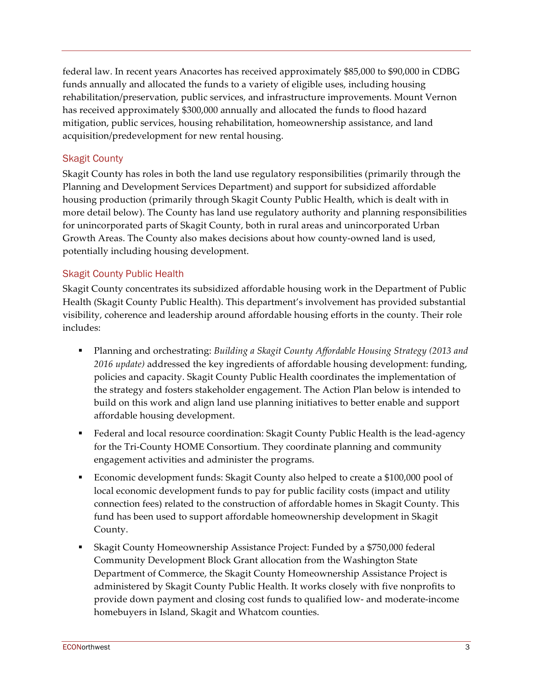federal law. In recent years Anacortes has received approximately \$85,000 to \$90,000 in CDBG funds annually and allocated the funds to a variety of eligible uses, including housing rehabilitation/preservation, public services, and infrastructure improvements. Mount Vernon has received approximately \$300,000 annually and allocated the funds to flood hazard mitigation, public services, housing rehabilitation, homeownership assistance, and land acquisition/predevelopment for new rental housing.

### Skagit County

Skagit County has roles in both the land use regulatory responsibilities (primarily through the Planning and Development Services Department) and support for subsidized affordable housing production (primarily through Skagit County Public Health, which is dealt with in more detail below). The County has land use regulatory authority and planning responsibilities for unincorporated parts of Skagit County, both in rural areas and unincorporated Urban Growth Areas. The County also makes decisions about how county-owned land is used, potentially including housing development.

#### Skagit County Public Health

Skagit County concentrates its subsidized affordable housing work in the Department of Public Health (Skagit County Public Health). This department's involvement has provided substantial visibility, coherence and leadership around affordable housing efforts in the county. Their role includes:

- § Planning and orchestrating: *Building a Skagit County Affordable Housing Strategy (2013 and 2016 update)* addressed the key ingredients of affordable housing development: funding, policies and capacity. Skagit County Public Health coordinates the implementation of the strategy and fosters stakeholder engagement. The Action Plan below is intended to build on this work and align land use planning initiatives to better enable and support affordable housing development.
- Federal and local resource coordination: Skagit County Public Health is the lead-agency for the Tri-County HOME Consortium. They coordinate planning and community engagement activities and administer the programs.
- § Economic development funds: Skagit County also helped to create a \$100,000 pool of local economic development funds to pay for public facility costs (impact and utility connection fees) related to the construction of affordable homes in Skagit County. This fund has been used to support affordable homeownership development in Skagit County.
- § Skagit County Homeownership Assistance Project: Funded by a \$750,000 federal Community Development Block Grant allocation from the Washington State Department of Commerce, the Skagit County Homeownership Assistance Project is administered by Skagit County Public Health. It works closely with five nonprofits to provide down payment and closing cost funds to qualified low- and moderate-income homebuyers in Island, Skagit and Whatcom counties.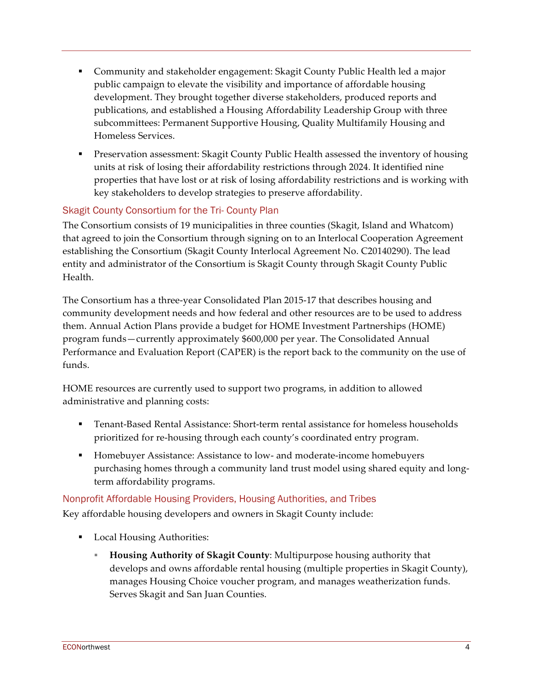- Community and stakeholder engagement: Skagit County Public Health led a major public campaign to elevate the visibility and importance of affordable housing development. They brought together diverse stakeholders, produced reports and publications, and established a Housing Affordability Leadership Group with three subcommittees: Permanent Supportive Housing, Quality Multifamily Housing and Homeless Services.
- Preservation assessment: Skagit County Public Health assessed the inventory of housing units at risk of losing their affordability restrictions through 2024. It identified nine properties that have lost or at risk of losing affordability restrictions and is working with key stakeholders to develop strategies to preserve affordability.

### Skagit County Consortium for the Tri- County Plan

The Consortium consists of 19 municipalities in three counties (Skagit, Island and Whatcom) that agreed to join the Consortium through signing on to an Interlocal Cooperation Agreement establishing the Consortium (Skagit County Interlocal Agreement No. C20140290). The lead entity and administrator of the Consortium is Skagit County through Skagit County Public Health.

The Consortium has a three-year Consolidated Plan 2015-17 that describes housing and community development needs and how federal and other resources are to be used to address them. Annual Action Plans provide a budget for HOME Investment Partnerships (HOME) program funds—currently approximately \$600,000 per year. The Consolidated Annual Performance and Evaluation Report (CAPER) is the report back to the community on the use of funds.

HOME resources are currently used to support two programs, in addition to allowed administrative and planning costs:

- Tenant-Based Rental Assistance: Short-term rental assistance for homeless households prioritized for re-housing through each county's coordinated entry program.
- Homebuyer Assistance: Assistance to low- and moderate-income homebuyers purchasing homes through a community land trust model using shared equity and longterm affordability programs.

## Nonprofit Affordable Housing Providers, Housing Authorities, and Tribes

Key affordable housing developers and owners in Skagit County include:

- Local Housing Authorities:
	- § **Housing Authority of Skagit County**: Multipurpose housing authority that develops and owns affordable rental housing (multiple properties in Skagit County), manages Housing Choice voucher program, and manages weatherization funds. Serves Skagit and San Juan Counties.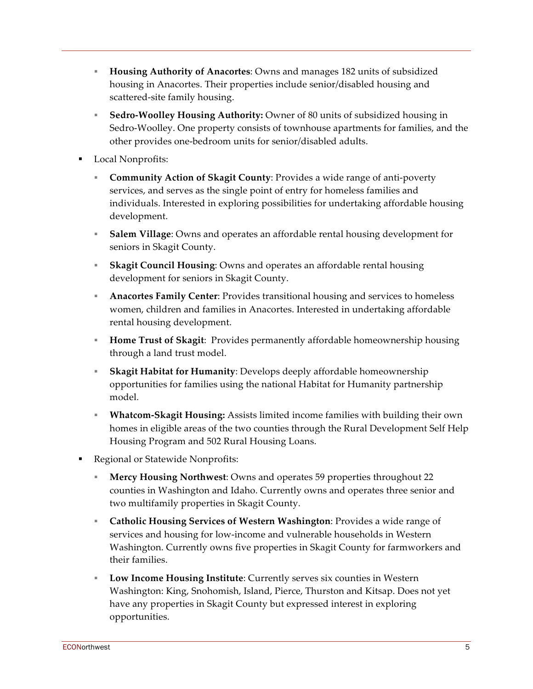- § **Housing Authority of Anacortes**: Owns and manages 182 units of subsidized housing in Anacortes. Their properties include senior/disabled housing and scattered-site family housing.
- § **Sedro-Woolley Housing Authority:** Owner of 80 units of subsidized housing in Sedro-Woolley. One property consists of townhouse apartments for families, and the other provides one-bedroom units for senior/disabled adults.
- Local Nonprofits:
	- § **Community Action of Skagit County**: Provides a wide range of anti-poverty services, and serves as the single point of entry for homeless families and individuals. Interested in exploring possibilities for undertaking affordable housing development.
	- § **Salem Village**: Owns and operates an affordable rental housing development for seniors in Skagit County.
	- **Skagit Council Housing:** Owns and operates an affordable rental housing development for seniors in Skagit County.
	- **Anacortes Family Center:** Provides transitional housing and services to homeless women, children and families in Anacortes. Interested in undertaking affordable rental housing development.
	- § **Home Trust of Skagit**: Provides permanently affordable homeownership housing through a land trust model.
	- § **Skagit Habitat for Humanity**: Develops deeply affordable homeownership opportunities for families using the national Habitat for Humanity partnership model.
	- § **Whatcom-Skagit Housing:** Assists limited income families with building their own homes in eligible areas of the two counties through the Rural Development Self Help Housing Program and 502 Rural Housing Loans.
- Regional or Statewide Nonprofits:
	- § **Mercy Housing Northwest**: Owns and operates 59 properties throughout 22 counties in Washington and Idaho. Currently owns and operates three senior and two multifamily properties in Skagit County.
	- § **Catholic Housing Services of Western Washington**: Provides a wide range of services and housing for low-income and vulnerable households in Western Washington. Currently owns five properties in Skagit County for farmworkers and their families.
	- § **Low Income Housing Institute**: Currently serves six counties in Western Washington: King, Snohomish, Island, Pierce, Thurston and Kitsap. Does not yet have any properties in Skagit County but expressed interest in exploring opportunities.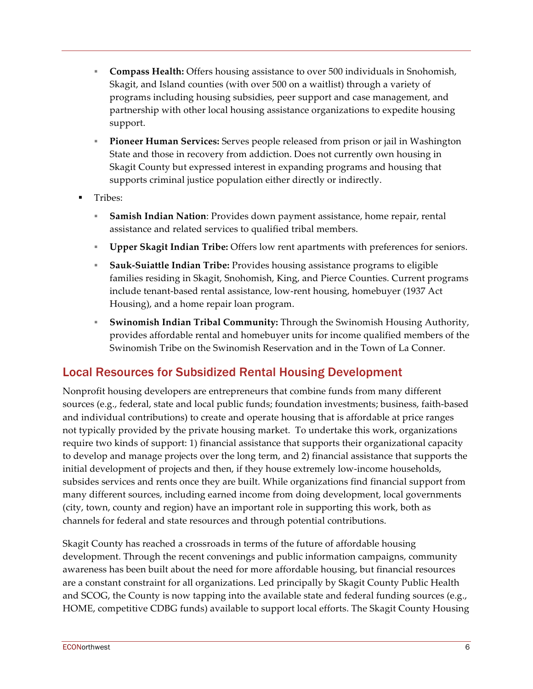- § **Compass Health:** Offers housing assistance to over 500 individuals in Snohomish, Skagit, and Island counties (with over 500 on a waitlist) through a variety of programs including housing subsidies, peer support and case management, and partnership with other local housing assistance organizations to expedite housing support.
- **Pioneer Human Services:** Serves people released from prison or jail in Washington State and those in recovery from addiction. Does not currently own housing in Skagit County but expressed interest in expanding programs and housing that supports criminal justice population either directly or indirectly.
- § Tribes:
	- § **Samish Indian Nation**: Provides down payment assistance, home repair, rental assistance and related services to qualified tribal members.
	- **Exampler Skagit Indian Tribe:** Offers low rent apartments with preferences for seniors.
	- § **Sauk-Suiattle Indian Tribe:** Provides housing assistance programs to eligible families residing in Skagit, Snohomish, King, and Pierce Counties. Current programs include tenant-based rental assistance, low-rent housing, homebuyer (1937 Act Housing), and a home repair loan program.
	- § **Swinomish Indian Tribal Community:** Through the Swinomish Housing Authority, provides affordable rental and homebuyer units for income qualified members of the Swinomish Tribe on the Swinomish Reservation and in the Town of La Conner.

# Local Resources for Subsidized Rental Housing Development

Nonprofit housing developers are entrepreneurs that combine funds from many different sources (e.g., federal, state and local public funds; foundation investments; business, faith-based and individual contributions) to create and operate housing that is affordable at price ranges not typically provided by the private housing market. To undertake this work, organizations require two kinds of support: 1) financial assistance that supports their organizational capacity to develop and manage projects over the long term, and 2) financial assistance that supports the initial development of projects and then, if they house extremely low-income households, subsides services and rents once they are built. While organizations find financial support from many different sources, including earned income from doing development, local governments (city, town, county and region) have an important role in supporting this work, both as channels for federal and state resources and through potential contributions.

Skagit County has reached a crossroads in terms of the future of affordable housing development. Through the recent convenings and public information campaigns, community awareness has been built about the need for more affordable housing, but financial resources are a constant constraint for all organizations. Led principally by Skagit County Public Health and SCOG, the County is now tapping into the available state and federal funding sources (e.g., HOME, competitive CDBG funds) available to support local efforts. The Skagit County Housing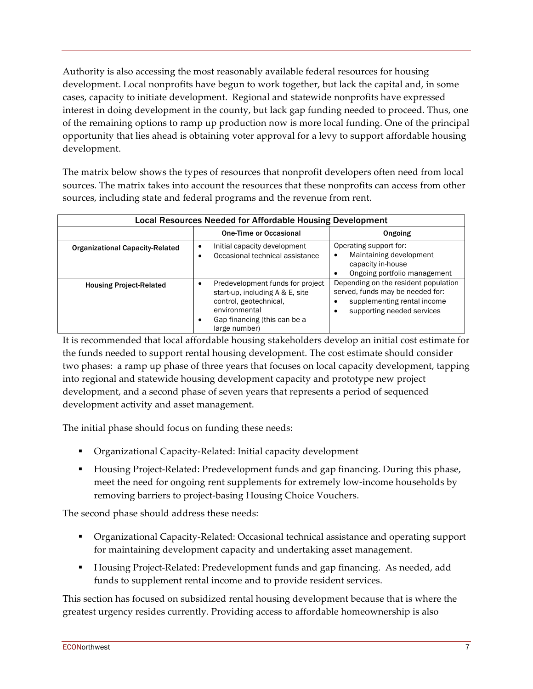Authority is also accessing the most reasonably available federal resources for housing development. Local nonprofits have begun to work together, but lack the capital and, in some cases, capacity to initiate development. Regional and statewide nonprofits have expressed interest in doing development in the county, but lack gap funding needed to proceed. Thus, one of the remaining options to ramp up production now is more local funding. One of the principal opportunity that lies ahead is obtaining voter approval for a levy to support affordable housing development.

The matrix below shows the types of resources that nonprofit developers often need from local sources. The matrix takes into account the resources that these nonprofits can access from other sources, including state and federal programs and the revenue from rent.

| Local Resources Needed for Affordable Housing Development |                                                                                                                                                                 |                                                                                                                                       |
|-----------------------------------------------------------|-----------------------------------------------------------------------------------------------------------------------------------------------------------------|---------------------------------------------------------------------------------------------------------------------------------------|
|                                                           | One-Time or Occasional                                                                                                                                          | Ongoing                                                                                                                               |
| <b>Organizational Capacity-Related</b>                    | Initial capacity development<br>Occasional technical assistance<br>٠                                                                                            | Operating support for:<br>Maintaining development<br>capacity in-house<br>Ongoing portfolio management                                |
| <b>Housing Project-Related</b>                            | Predevelopment funds for project<br>start-up, including A & E, site<br>control, geotechnical,<br>environmental<br>Gap financing (this can be a<br>large number) | Depending on the resident population<br>served, funds may be needed for:<br>supplementing rental income<br>supporting needed services |

It is recommended that local affordable housing stakeholders develop an initial cost estimate for the funds needed to support rental housing development. The cost estimate should consider two phases: a ramp up phase of three years that focuses on local capacity development, tapping into regional and statewide housing development capacity and prototype new project development, and a second phase of seven years that represents a period of sequenced development activity and asset management.

The initial phase should focus on funding these needs:

- Organizational Capacity-Related: Initial capacity development
- Housing Project-Related: Predevelopment funds and gap financing. During this phase, meet the need for ongoing rent supplements for extremely low-income households by removing barriers to project-basing Housing Choice Vouchers.

The second phase should address these needs:

- § Organizational Capacity-Related: Occasional technical assistance and operating support for maintaining development capacity and undertaking asset management.
- § Housing Project-Related: Predevelopment funds and gap financing. As needed, add funds to supplement rental income and to provide resident services.

This section has focused on subsidized rental housing development because that is where the greatest urgency resides currently. Providing access to affordable homeownership is also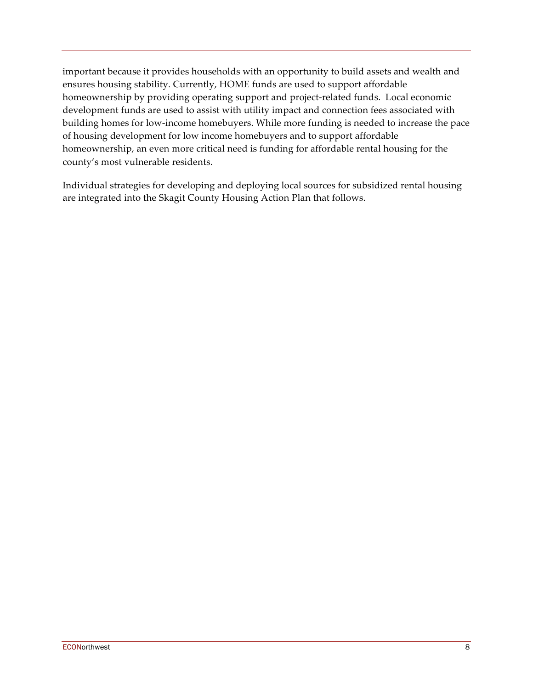important because it provides households with an opportunity to build assets and wealth and ensures housing stability. Currently, HOME funds are used to support affordable homeownership by providing operating support and project-related funds. Local economic development funds are used to assist with utility impact and connection fees associated with building homes for low-income homebuyers. While more funding is needed to increase the pace of housing development for low income homebuyers and to support affordable homeownership, an even more critical need is funding for affordable rental housing for the county's most vulnerable residents.

Individual strategies for developing and deploying local sources for subsidized rental housing are integrated into the Skagit County Housing Action Plan that follows.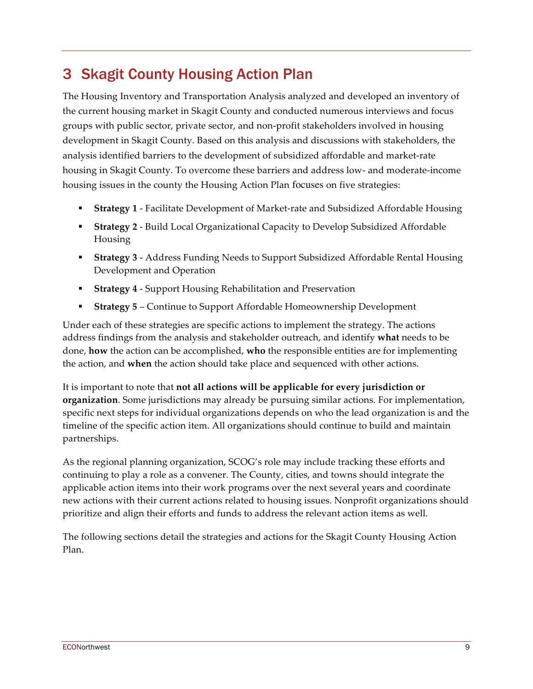# 3 Skagit County Housing Action Plan

The Housing Inventory and Transportation Analysis analyzed and developed an inventory of the current housing market in Skagit County and conducted numerous interviews and focus groups with public sector, private sector, and non-profit stakeholders involved in housing development in Skagit County. Based on this analysis and discussions with stakeholders, the analysis identified barriers to the development of subsidized affordable and market-rate housing in Skagit County. To overcome these barriers and address low- and moderate-income housing issues in the county the Housing Action Plan focuses on five strategies:

- § **Strategy 1** Facilitate Development of Market-rate and Subsidized Affordable Housing
- **Strategy 2** Build Local Organizational Capacity to Develop Subsidized Affordable Housing
- § **Strategy 3** Address Funding Needs to Support Subsidized Affordable Rental Housing Development and Operation
- § **Strategy 4**  Support Housing Rehabilitation and Preservation
- § **Strategy 5**  Continue to Support Affordable Homeownership Development

Under each of these strategies are specific actions to implement the strategy. The actions address findings from the analysis and stakeholder outreach, and identify **what** needs to be done, **how** the action can be accomplished, **who** the responsible entities are for implementing the action, and **when** the action should take place and sequenced with other actions.

It is important to note that **not all actions will be applicable for every jurisdiction or organization**. Some jurisdictions may already be pursuing similar actions. For implementation, specific next steps for individual organizations depends on who the lead organization is and the timeline of the specific action item. All organizations should continue to build and maintain partnerships.

As the regional planning organization, SCOG's role may include tracking these efforts and continuing to play a role as a convener. The County, cities, and towns should integrate the applicable action items into their work programs over the next several years and coordinate new actions with their current actions related to housing issues. Nonprofit organizations should prioritize and align their efforts and funds to address the relevant action items as well.

The following sections detail the strategies and actions for the Skagit County Housing Action Plan.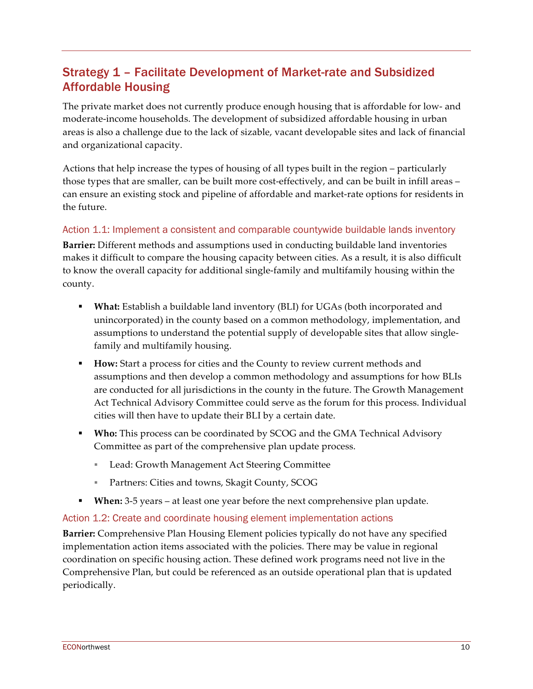# Strategy 1 – Facilitate Development of Market-rate and Subsidized Affordable Housing

The private market does not currently produce enough housing that is affordable for low- and moderate-income households. The development of subsidized affordable housing in urban areas is also a challenge due to the lack of sizable, vacant developable sites and lack of financial and organizational capacity.

Actions that help increase the types of housing of all types built in the region – particularly those types that are smaller, can be built more cost-effectively, and can be built in infill areas – can ensure an existing stock and pipeline of affordable and market-rate options for residents in the future.

### Action 1.1: Implement a consistent and comparable countywide buildable lands inventory

**Barrier:** Different methods and assumptions used in conducting buildable land inventories makes it difficult to compare the housing capacity between cities. As a result, it is also difficult to know the overall capacity for additional single-family and multifamily housing within the county.

- § **What:** Establish a buildable land inventory (BLI) for UGAs (both incorporated and unincorporated) in the county based on a common methodology, implementation, and assumptions to understand the potential supply of developable sites that allow singlefamily and multifamily housing.
- § **How:** Start a process for cities and the County to review current methods and assumptions and then develop a common methodology and assumptions for how BLIs are conducted for all jurisdictions in the county in the future. The Growth Management Act Technical Advisory Committee could serve as the forum for this process. Individual cities will then have to update their BLI by a certain date.
- § **Who:** This process can be coordinated by SCOG and the GMA Technical Advisory Committee as part of the comprehensive plan update process.
	- Lead: Growth Management Act Steering Committee
	- Partners: Cities and towns, Skagit County, SCOG
- § **When:** 3-5 years at least one year before the next comprehensive plan update.

#### Action 1.2: Create and coordinate housing element implementation actions

**Barrier:** Comprehensive Plan Housing Element policies typically do not have any specified implementation action items associated with the policies. There may be value in regional coordination on specific housing action. These defined work programs need not live in the Comprehensive Plan, but could be referenced as an outside operational plan that is updated periodically.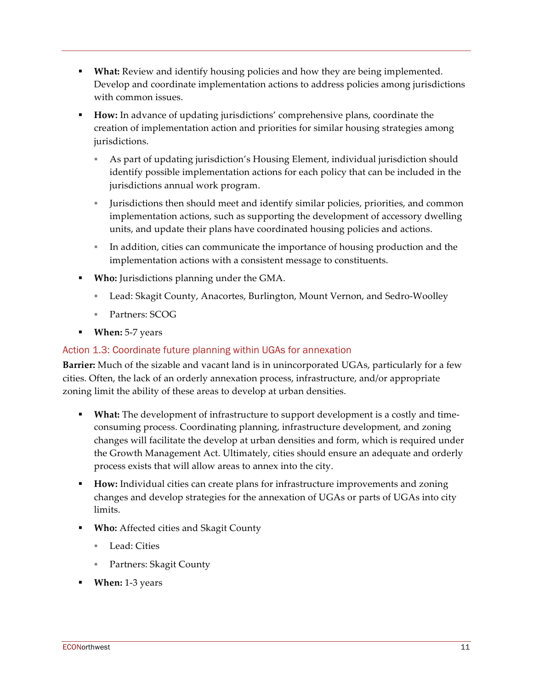- **What:** Review and identify housing policies and how they are being implemented. Develop and coordinate implementation actions to address policies among jurisdictions with common issues.
- § **How:** In advance of updating jurisdictions' comprehensive plans, coordinate the creation of implementation action and priorities for similar housing strategies among jurisdictions.
	- § As part of updating jurisdiction's Housing Element, individual jurisdiction should identify possible implementation actions for each policy that can be included in the jurisdictions annual work program.
	- § Jurisdictions then should meet and identify similar policies, priorities, and common implementation actions, such as supporting the development of accessory dwelling units, and update their plans have coordinated housing policies and actions.
	- In addition, cities can communicate the importance of housing production and the implementation actions with a consistent message to constituents.
- § **Who:** Jurisdictions planning under the GMA.
	- § Lead: Skagit County, Anacortes, Burlington, Mount Vernon, and Sedro-Woolley
	- Partners: SCOG
- § **When:** 5-7 years

### Action 1.3: Coordinate future planning within UGAs for annexation

**Barrier:** Much of the sizable and vacant land is in unincorporated UGAs, particularly for a few cities. Often, the lack of an orderly annexation process, infrastructure, and/or appropriate zoning limit the ability of these areas to develop at urban densities.

- **What:** The development of infrastructure to support development is a costly and timeconsuming process. Coordinating planning, infrastructure development, and zoning changes will facilitate the develop at urban densities and form, which is required under the Growth Management Act. Ultimately, cities should ensure an adequate and orderly process exists that will allow areas to annex into the city.
- **How:** Individual cities can create plans for infrastructure improvements and zoning changes and develop strategies for the annexation of UGAs or parts of UGAs into city limits.
- § **Who:** Affected cities and Skagit County
	- Lead: Cities
	- § Partners: Skagit County
- § **When:** 1-3 years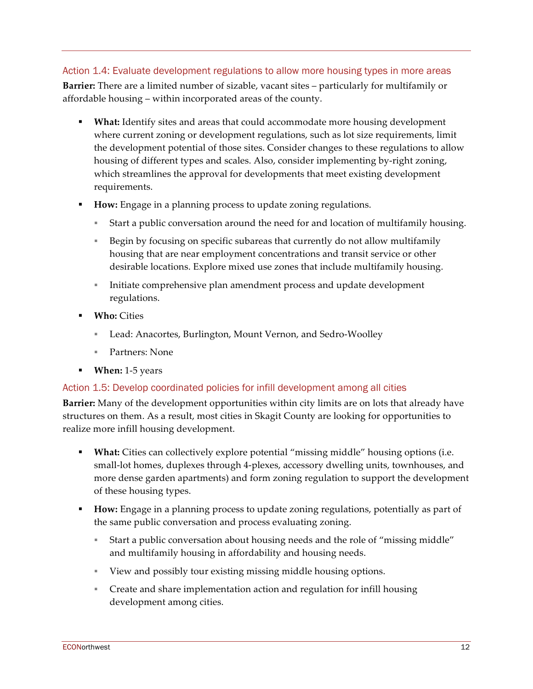### Action 1.4: Evaluate development regulations to allow more housing types in more areas

**Barrier:** There are a limited number of sizable, vacant sites – particularly for multifamily or affordable housing – within incorporated areas of the county.

- § **What:** Identify sites and areas that could accommodate more housing development where current zoning or development regulations, such as lot size requirements, limit the development potential of those sites. Consider changes to these regulations to allow housing of different types and scales. Also, consider implementing by-right zoning, which streamlines the approval for developments that meet existing development requirements.
- § **How:** Engage in a planning process to update zoning regulations.
	- § Start a public conversation around the need for and location of multifamily housing.
	- § Begin by focusing on specific subareas that currently do not allow multifamily housing that are near employment concentrations and transit service or other desirable locations. Explore mixed use zones that include multifamily housing.
	- **EXECT** Initiate comprehensive plan amendment process and update development regulations.
- § **Who:** Cities
	- Lead: Anacortes, Burlington, Mount Vernon, and Sedro-Woolley
	- Partners: None
- § **When:** 1-5 years

### Action 1.5: Develop coordinated policies for infill development among all cities

**Barrier:** Many of the development opportunities within city limits are on lots that already have structures on them. As a result, most cities in Skagit County are looking for opportunities to realize more infill housing development.

- **What:** Cities can collectively explore potential "missing middle" housing options (i.e. small-lot homes, duplexes through 4-plexes, accessory dwelling units, townhouses, and more dense garden apartments) and form zoning regulation to support the development of these housing types.
- § **How:** Engage in a planning process to update zoning regulations, potentially as part of the same public conversation and process evaluating zoning.
	- § Start a public conversation about housing needs and the role of "missing middle" and multifamily housing in affordability and housing needs.
	- § View and possibly tour existing missing middle housing options.
	- § Create and share implementation action and regulation for infill housing development among cities.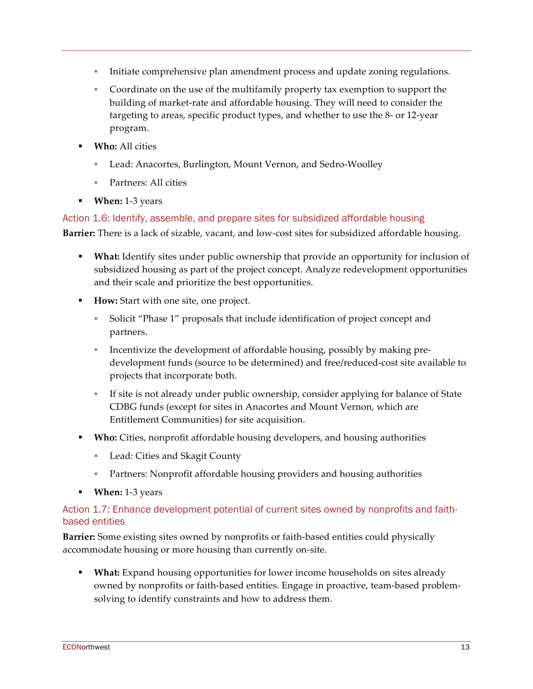- § Initiate comprehensive plan amendment process and update zoning regulations.
- § Coordinate on the use of the multifamily property tax exemption to support the building of market-rate and affordable housing. They will need to consider the targeting to areas, specific product types, and whether to use the 8- or 12-year program.
- § **Who:** All cities
	- Lead: Anacortes, Burlington, Mount Vernon, and Sedro-Woolley
	- § Partners: All cities
- § **When:** 1-3 years

#### Action 1.6: Identify, assemble, and prepare sites for subsidized affordable housing

**Barrier:** There is a lack of sizable, vacant, and low-cost sites for subsidized affordable housing.

- § **What:** Identify sites under public ownership that provide an opportunity for inclusion of subsidized housing as part of the project concept. Analyze redevelopment opportunities and their scale and prioritize the best opportunities.
- **How:** Start with one site, one project.
	- § Solicit "Phase 1" proposals that include identification of project concept and partners.
	- **Example 1** Incentivize the development of affordable housing, possibly by making predevelopment funds (source to be determined) and free/reduced-cost site available to projects that incorporate both.
	- § If site is not already under public ownership, consider applying for balance of State CDBG funds (except for sites in Anacortes and Mount Vernon, which are Entitlement Communities) for site acquisition.
- § **Who:** Cities, nonprofit affordable housing developers, and housing authorities
	- Lead: Cities and Skagit County
	- Partners: Nonprofit affordable housing providers and housing authorities
- § **When:** 1-3 years

#### Action 1.7: Enhance development potential of current sites owned by nonprofits and faithbased entities

**Barrier:** Some existing sites owned by nonprofits or faith-based entities could physically accommodate housing or more housing than currently on-site.

§ **What:** Expand housing opportunities for lower income households on sites already owned by nonprofits or faith-based entities. Engage in proactive, team-based problemsolving to identify constraints and how to address them.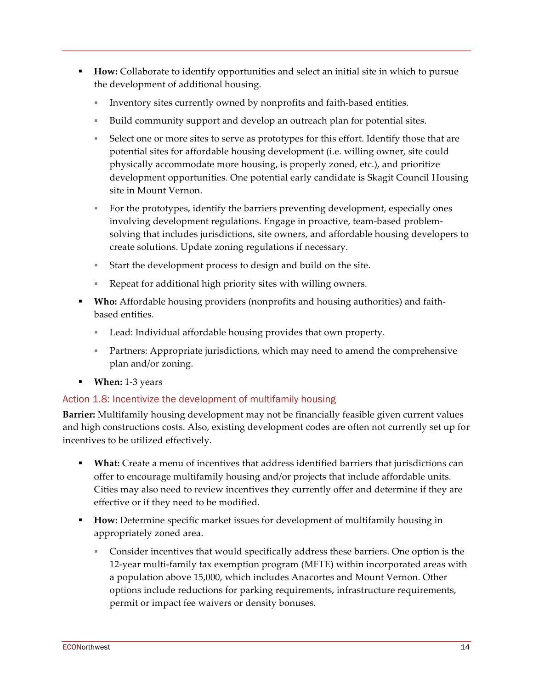- § **How:** Collaborate to identify opportunities and select an initial site in which to pursue the development of additional housing.
	- § Inventory sites currently owned by nonprofits and faith-based entities.
	- § Build community support and develop an outreach plan for potential sites.
	- § Select one or more sites to serve as prototypes for this effort. Identify those that are potential sites for affordable housing development (i.e. willing owner, site could physically accommodate more housing, is properly zoned, etc.), and prioritize development opportunities. One potential early candidate is Skagit Council Housing site in Mount Vernon.
	- § For the prototypes, identify the barriers preventing development, especially ones involving development regulations. Engage in proactive, team-based problemsolving that includes jurisdictions, site owners, and affordable housing developers to create solutions. Update zoning regulations if necessary.
	- Start the development process to design and build on the site.
	- § Repeat for additional high priority sites with willing owners.
- § **Who:** Affordable housing providers (nonprofits and housing authorities) and faithbased entities.
	- Lead: Individual affordable housing provides that own property.
	- Partners: Appropriate jurisdictions, which may need to amend the comprehensive plan and/or zoning.
- § **When:** 1-3 years

### Action 1.8: Incentivize the development of multifamily housing

**Barrier:** Multifamily housing development may not be financially feasible given current values and high constructions costs. Also, existing development codes are often not currently set up for incentives to be utilized effectively.

- § **What:** Create a menu of incentives that address identified barriers that jurisdictions can offer to encourage multifamily housing and/or projects that include affordable units. Cities may also need to review incentives they currently offer and determine if they are effective or if they need to be modified.
- § **How:** Determine specific market issues for development of multifamily housing in appropriately zoned area.
	- § Consider incentives that would specifically address these barriers. One option is the 12-year multi-family tax exemption program (MFTE) within incorporated areas with a population above 15,000, which includes Anacortes and Mount Vernon. Other options include reductions for parking requirements, infrastructure requirements, permit or impact fee waivers or density bonuses.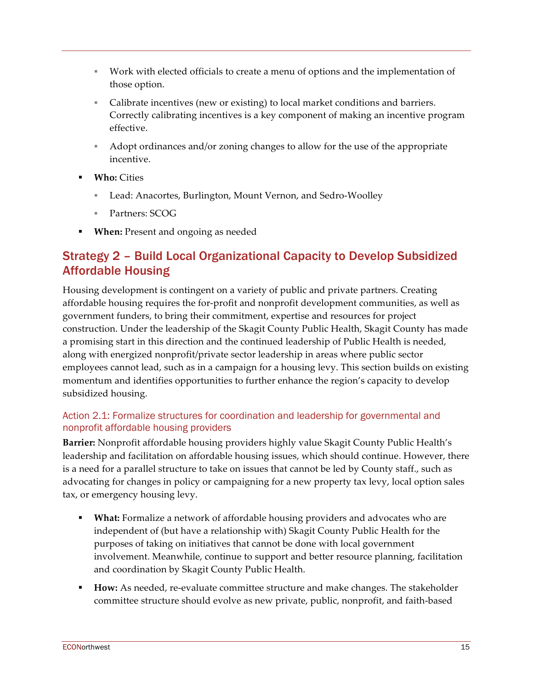- § Work with elected officials to create a menu of options and the implementation of those option.
- Calibrate incentives (new or existing) to local market conditions and barriers. Correctly calibrating incentives is a key component of making an incentive program effective.
- § Adopt ordinances and/or zoning changes to allow for the use of the appropriate incentive.
- § **Who:** Cities
	- § Lead: Anacortes, Burlington, Mount Vernon, and Sedro-Woolley
	- § Partners: SCOG
- **When:** Present and ongoing as needed

## Strategy 2 – Build Local Organizational Capacity to Develop Subsidized Affordable Housing

Housing development is contingent on a variety of public and private partners. Creating affordable housing requires the for-profit and nonprofit development communities, as well as government funders, to bring their commitment, expertise and resources for project construction. Under the leadership of the Skagit County Public Health, Skagit County has made a promising start in this direction and the continued leadership of Public Health is needed, along with energized nonprofit/private sector leadership in areas where public sector employees cannot lead, such as in a campaign for a housing levy. This section builds on existing momentum and identifies opportunities to further enhance the region's capacity to develop subsidized housing.

### Action 2.1: Formalize structures for coordination and leadership for governmental and nonprofit affordable housing providers

**Barrier:** Nonprofit affordable housing providers highly value Skagit County Public Health's leadership and facilitation on affordable housing issues, which should continue. However, there is a need for a parallel structure to take on issues that cannot be led by County staff., such as advocating for changes in policy or campaigning for a new property tax levy, local option sales tax, or emergency housing levy.

- § **What:** Formalize a network of affordable housing providers and advocates who are independent of (but have a relationship with) Skagit County Public Health for the purposes of taking on initiatives that cannot be done with local government involvement. Meanwhile, continue to support and better resource planning, facilitation and coordination by Skagit County Public Health.
- § **How:** As needed, re-evaluate committee structure and make changes. The stakeholder committee structure should evolve as new private, public, nonprofit, and faith-based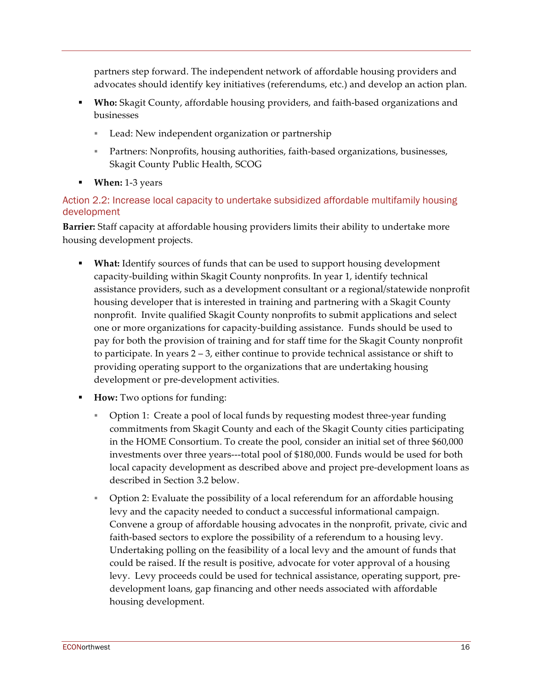partners step forward. The independent network of affordable housing providers and advocates should identify key initiatives (referendums, etc.) and develop an action plan.

- § **Who:** Skagit County, affordable housing providers, and faith-based organizations and businesses
	- Lead: New independent organization or partnership
	- Partners: Nonprofits, housing authorities, faith-based organizations, businesses, Skagit County Public Health, SCOG
- § **When:** 1-3 years

### Action 2.2: Increase local capacity to undertake subsidized affordable multifamily housing development

**Barrier:** Staff capacity at affordable housing providers limits their ability to undertake more housing development projects.

- § **What:** Identify sources of funds that can be used to support housing development capacity-building within Skagit County nonprofits. In year 1, identify technical assistance providers, such as a development consultant or a regional/statewide nonprofit housing developer that is interested in training and partnering with a Skagit County nonprofit. Invite qualified Skagit County nonprofits to submit applications and select one or more organizations for capacity-building assistance. Funds should be used to pay for both the provision of training and for staff time for the Skagit County nonprofit to participate. In years 2 – 3, either continue to provide technical assistance or shift to providing operating support to the organizations that are undertaking housing development or pre-development activities.
- § **How:** Two options for funding:
	- § Option 1: Create a pool of local funds by requesting modest three-year funding commitments from Skagit County and each of the Skagit County cities participating in the HOME Consortium. To create the pool, consider an initial set of three \$60,000 investments over three years---total pool of \$180,000. Funds would be used for both local capacity development as described above and project pre-development loans as described in Section 3.2 below.
	- Option 2: Evaluate the possibility of a local referendum for an affordable housing levy and the capacity needed to conduct a successful informational campaign. Convene a group of affordable housing advocates in the nonprofit, private, civic and faith-based sectors to explore the possibility of a referendum to a housing levy. Undertaking polling on the feasibility of a local levy and the amount of funds that could be raised. If the result is positive, advocate for voter approval of a housing levy. Levy proceeds could be used for technical assistance, operating support, predevelopment loans, gap financing and other needs associated with affordable housing development.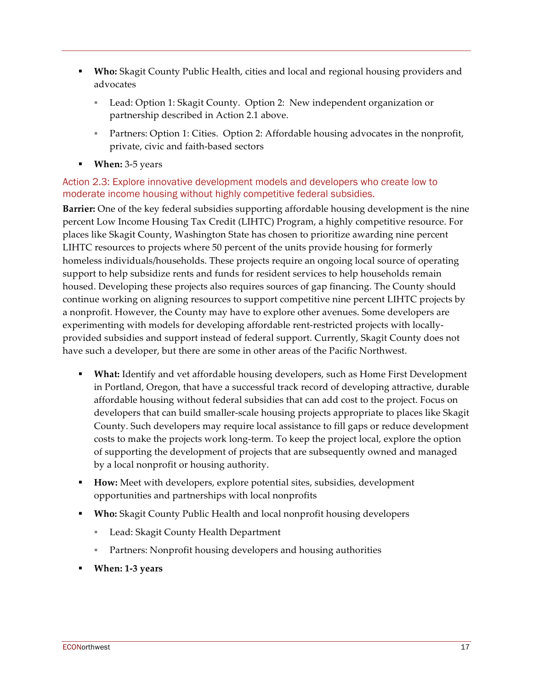- § **Who:** Skagit County Public Health, cities and local and regional housing providers and advocates
	- Lead: Option 1: Skagit County. Option 2: New independent organization or partnership described in Action 2.1 above.
	- Partners: Option 1: Cities. Option 2: Affordable housing advocates in the nonprofit, private, civic and faith-based sectors
- § **When:** 3-5 years

### Action 2.3: Explore innovative development models and developers who create low to moderate income housing without highly competitive federal subsidies.

**Barrier:** One of the key federal subsidies supporting affordable housing development is the nine percent Low Income Housing Tax Credit (LIHTC) Program, a highly competitive resource. For places like Skagit County, Washington State has chosen to prioritize awarding nine percent LIHTC resources to projects where 50 percent of the units provide housing for formerly homeless individuals/households. These projects require an ongoing local source of operating support to help subsidize rents and funds for resident services to help households remain housed. Developing these projects also requires sources of gap financing. The County should continue working on aligning resources to support competitive nine percent LIHTC projects by a nonprofit. However, the County may have to explore other avenues. Some developers are experimenting with models for developing affordable rent-restricted projects with locallyprovided subsidies and support instead of federal support. Currently, Skagit County does not have such a developer, but there are some in other areas of the Pacific Northwest.

- § **What:** Identify and vet affordable housing developers, such as Home First Development in Portland, Oregon, that have a successful track record of developing attractive, durable affordable housing without federal subsidies that can add cost to the project. Focus on developers that can build smaller-scale housing projects appropriate to places like Skagit County. Such developers may require local assistance to fill gaps or reduce development costs to make the projects work long-term. To keep the project local, explore the option of supporting the development of projects that are subsequently owned and managed by a local nonprofit or housing authority.
- **How:** Meet with developers, explore potential sites, subsidies, development opportunities and partnerships with local nonprofits
- § **Who:** Skagit County Public Health and local nonprofit housing developers
	- Lead: Skagit County Health Department
	- Partners: Nonprofit housing developers and housing authorities
- § **When: 1-3 years**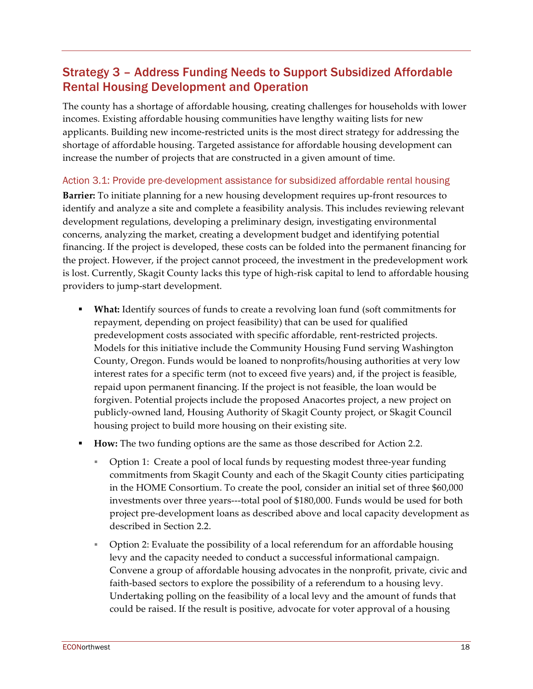# Strategy 3 – Address Funding Needs to Support Subsidized Affordable Rental Housing Development and Operation

The county has a shortage of affordable housing, creating challenges for households with lower incomes. Existing affordable housing communities have lengthy waiting lists for new applicants. Building new income-restricted units is the most direct strategy for addressing the shortage of affordable housing. Targeted assistance for affordable housing development can increase the number of projects that are constructed in a given amount of time.

#### Action 3.1: Provide pre-development assistance for subsidized affordable rental housing

**Barrier:** To initiate planning for a new housing development requires up-front resources to identify and analyze a site and complete a feasibility analysis. This includes reviewing relevant development regulations, developing a preliminary design, investigating environmental concerns, analyzing the market, creating a development budget and identifying potential financing. If the project is developed, these costs can be folded into the permanent financing for the project. However, if the project cannot proceed, the investment in the predevelopment work is lost. Currently, Skagit County lacks this type of high-risk capital to lend to affordable housing providers to jump-start development.

- § **What:** Identify sources of funds to create a revolving loan fund (soft commitments for repayment, depending on project feasibility) that can be used for qualified predevelopment costs associated with specific affordable, rent-restricted projects. Models for this initiative include the Community Housing Fund serving Washington County, Oregon. Funds would be loaned to nonprofits/housing authorities at very low interest rates for a specific term (not to exceed five years) and, if the project is feasible, repaid upon permanent financing. If the project is not feasible, the loan would be forgiven. Potential projects include the proposed Anacortes project, a new project on publicly-owned land, Housing Authority of Skagit County project, or Skagit Council housing project to build more housing on their existing site.
- **How:** The two funding options are the same as those described for Action 2.2.
	- § Option 1: Create a pool of local funds by requesting modest three-year funding commitments from Skagit County and each of the Skagit County cities participating in the HOME Consortium. To create the pool, consider an initial set of three \$60,000 investments over three years---total pool of \$180,000. Funds would be used for both project pre-development loans as described above and local capacity development as described in Section 2.2.
	- § Option 2: Evaluate the possibility of a local referendum for an affordable housing levy and the capacity needed to conduct a successful informational campaign. Convene a group of affordable housing advocates in the nonprofit, private, civic and faith-based sectors to explore the possibility of a referendum to a housing levy. Undertaking polling on the feasibility of a local levy and the amount of funds that could be raised. If the result is positive, advocate for voter approval of a housing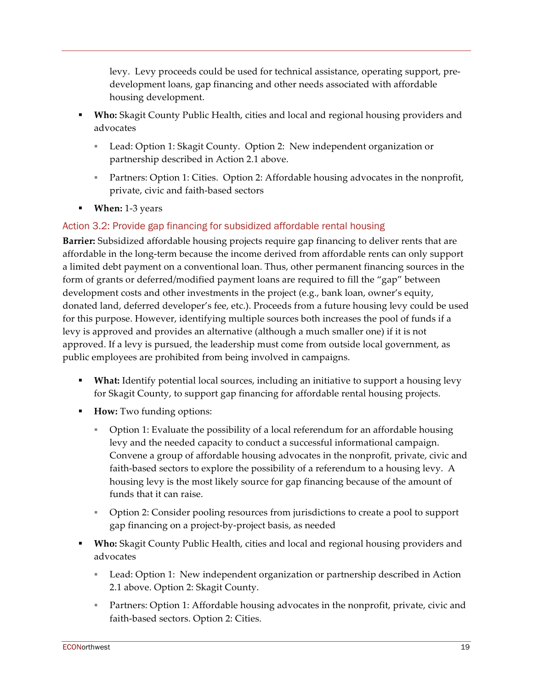levy. Levy proceeds could be used for technical assistance, operating support, predevelopment loans, gap financing and other needs associated with affordable housing development.

- § **Who:** Skagit County Public Health, cities and local and regional housing providers and advocates
	- Lead: Option 1: Skagit County. Option 2: New independent organization or partnership described in Action 2.1 above.
	- Partners: Option 1: Cities. Option 2: Affordable housing advocates in the nonprofit, private, civic and faith-based sectors
- § **When:** 1-3 years

## Action 3.2: Provide gap financing for subsidized affordable rental housing

**Barrier:** Subsidized affordable housing projects require gap financing to deliver rents that are affordable in the long-term because the income derived from affordable rents can only support a limited debt payment on a conventional loan. Thus, other permanent financing sources in the form of grants or deferred/modified payment loans are required to fill the "gap" between development costs and other investments in the project (e.g., bank loan, owner's equity, donated land, deferred developer's fee, etc.). Proceeds from a future housing levy could be used for this purpose. However, identifying multiple sources both increases the pool of funds if a levy is approved and provides an alternative (although a much smaller one) if it is not approved. If a levy is pursued, the leadership must come from outside local government, as public employees are prohibited from being involved in campaigns.

- § **What:** Identify potential local sources, including an initiative to support a housing levy for Skagit County, to support gap financing for affordable rental housing projects.
- § **How:** Two funding options:
	- § Option 1: Evaluate the possibility of a local referendum for an affordable housing levy and the needed capacity to conduct a successful informational campaign. Convene a group of affordable housing advocates in the nonprofit, private, civic and faith-based sectors to explore the possibility of a referendum to a housing levy. A housing levy is the most likely source for gap financing because of the amount of funds that it can raise.
	- § Option 2: Consider pooling resources from jurisdictions to create a pool to support gap financing on a project-by-project basis, as needed
- § **Who:** Skagit County Public Health, cities and local and regional housing providers and advocates
	- Lead: Option 1: New independent organization or partnership described in Action 2.1 above. Option 2: Skagit County.
	- Partners: Option 1: Affordable housing advocates in the nonprofit, private, civic and faith-based sectors. Option 2: Cities.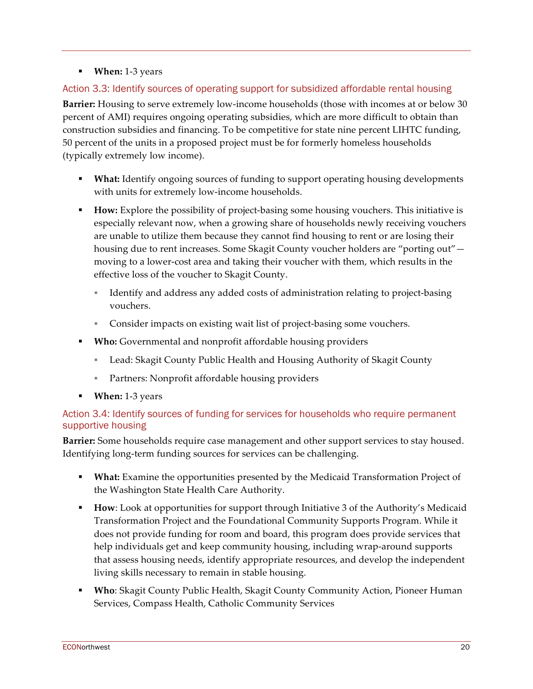### § **When:** 1-3 years

### Action 3.3: Identify sources of operating support for subsidized affordable rental housing

**Barrier:** Housing to serve extremely low-income households (those with incomes at or below 30 percent of AMI) requires ongoing operating subsidies, which are more difficult to obtain than construction subsidies and financing. To be competitive for state nine percent LIHTC funding, 50 percent of the units in a proposed project must be for formerly homeless households (typically extremely low income).

- **What:** Identify ongoing sources of funding to support operating housing developments with units for extremely low-income households.
- **How:** Explore the possibility of project-basing some housing vouchers. This initiative is especially relevant now, when a growing share of households newly receiving vouchers are unable to utilize them because they cannot find housing to rent or are losing their housing due to rent increases. Some Skagit County voucher holders are "porting out" moving to a lower-cost area and taking their voucher with them, which results in the effective loss of the voucher to Skagit County.
	- § Identify and address any added costs of administration relating to project-basing vouchers.
	- Consider impacts on existing wait list of project-basing some vouchers.
- **Who:** Governmental and nonprofit affordable housing providers
	- Lead: Skagit County Public Health and Housing Authority of Skagit County
	- Partners: Nonprofit affordable housing providers
- § **When:** 1-3 years

### Action 3.4: Identify sources of funding for services for households who require permanent supportive housing

**Barrier:** Some households require case management and other support services to stay housed. Identifying long-term funding sources for services can be challenging.

- **What:** Examine the opportunities presented by the Medicaid Transformation Project of the Washington State Health Care Authority.
- § **How**: Look at opportunities for support through Initiative 3 of the Authority's Medicaid Transformation Project and the Foundational Community Supports Program. While it does not provide funding for room and board, this program does provide services that help individuals get and keep community housing, including wrap-around supports that assess housing needs, identify appropriate resources, and develop the independent living skills necessary to remain in stable housing.
- § **Who**: Skagit County Public Health, Skagit County Community Action, Pioneer Human Services, Compass Health, Catholic Community Services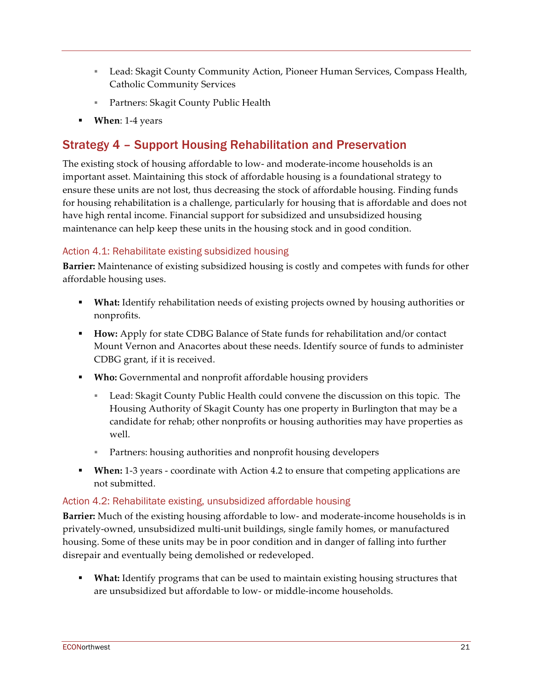- Lead: Skagit County Community Action, Pioneer Human Services, Compass Health, Catholic Community Services
- Partners: Skagit County Public Health
- § **When**: 1-4 years

# Strategy 4 – Support Housing Rehabilitation and Preservation

The existing stock of housing affordable to low- and moderate-income households is an important asset. Maintaining this stock of affordable housing is a foundational strategy to ensure these units are not lost, thus decreasing the stock of affordable housing. Finding funds for housing rehabilitation is a challenge, particularly for housing that is affordable and does not have high rental income. Financial support for subsidized and unsubsidized housing maintenance can help keep these units in the housing stock and in good condition.

### Action 4.1: Rehabilitate existing subsidized housing

**Barrier:** Maintenance of existing subsidized housing is costly and competes with funds for other affordable housing uses.

- § **What:** Identify rehabilitation needs of existing projects owned by housing authorities or nonprofits.
- **How:** Apply for state CDBG Balance of State funds for rehabilitation and/or contact Mount Vernon and Anacortes about these needs. Identify source of funds to administer CDBG grant, if it is received.
- § **Who:** Governmental and nonprofit affordable housing providers
	- Lead: Skagit County Public Health could convene the discussion on this topic. The Housing Authority of Skagit County has one property in Burlington that may be a candidate for rehab; other nonprofits or housing authorities may have properties as well.
	- Partners: housing authorities and nonprofit housing developers
- § **When:** 1-3 years coordinate with Action 4.2 to ensure that competing applications are not submitted.

### Action 4.2: Rehabilitate existing, unsubsidized affordable housing

**Barrier:** Much of the existing housing affordable to low- and moderate-income households is in privately-owned, unsubsidized multi-unit buildings, single family homes, or manufactured housing. Some of these units may be in poor condition and in danger of falling into further disrepair and eventually being demolished or redeveloped.

§ **What:** Identify programs that can be used to maintain existing housing structures that are unsubsidized but affordable to low- or middle-income households.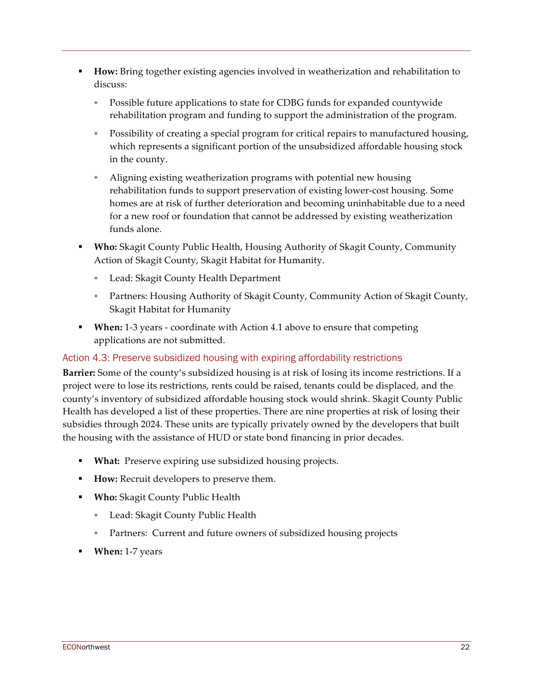- § **How:** Bring together existing agencies involved in weatherization and rehabilitation to discuss:
	- § Possible future applications to state for CDBG funds for expanded countywide rehabilitation program and funding to support the administration of the program.
	- § Possibility of creating a special program for critical repairs to manufactured housing, which represents a significant portion of the unsubsidized affordable housing stock in the county.
	- § Aligning existing weatherization programs with potential new housing rehabilitation funds to support preservation of existing lower-cost housing. Some homes are at risk of further deterioration and becoming uninhabitable due to a need for a new roof or foundation that cannot be addressed by existing weatherization funds alone.
- § **Who:** Skagit County Public Health, Housing Authority of Skagit County, Community Action of Skagit County, Skagit Habitat for Humanity.
	- Lead: Skagit County Health Department
	- Partners: Housing Authority of Skagit County, Community Action of Skagit County, Skagit Habitat for Humanity
- § **When:** 1-3 years coordinate with Action 4.1 above to ensure that competing applications are not submitted.

#### Action 4.3: Preserve subsidized housing with expiring affordability restrictions

**Barrier:** Some of the county's subsidized housing is at risk of losing its income restrictions. If a project were to lose its restrictions, rents could be raised, tenants could be displaced, and the county's inventory of subsidized affordable housing stock would shrink. Skagit County Public Health has developed a list of these properties. There are nine properties at risk of losing their subsidies through 2024. These units are typically privately owned by the developers that built the housing with the assistance of HUD or state bond financing in prior decades.

- § **What:** Preserve expiring use subsidized housing projects.
- **How:** Recruit developers to preserve them.
- § **Who:** Skagit County Public Health
	- Lead: Skagit County Public Health
	- Partners: Current and future owners of subsidized housing projects
- **When:** 1-7 years